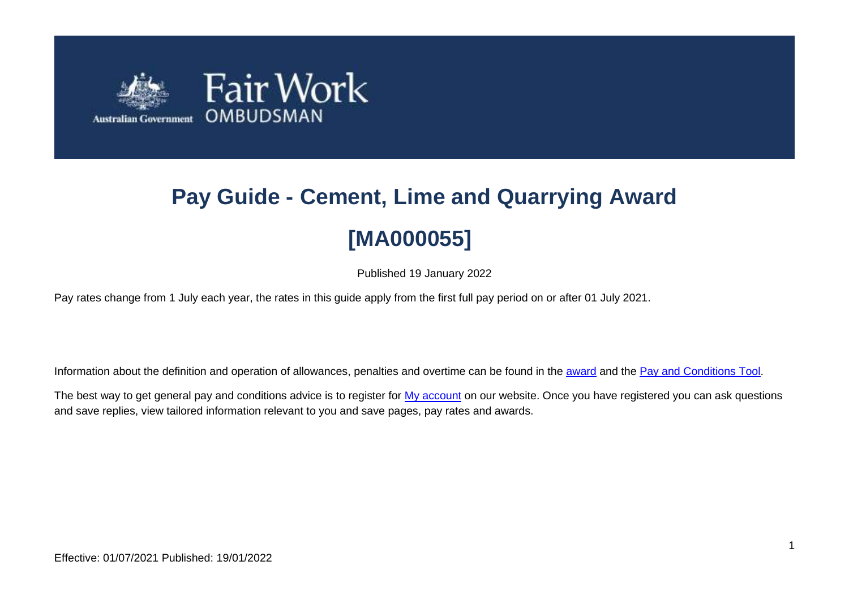

# **Pay Guide - Cement, Lime and Quarrying Award [MA000055]**

Published 19 January 2022

Pay rates change from 1 July each year, the rates in this guide apply from the first full pay period on or after 01 July 2021.

Information about the definition and operation of allowances, penalties and overtime can be found in the [award](https://www.fairwork.gov.au/awards-and-agreements/awards/list-of-awards) and the [Pay and Conditions Tool.](https://calculate.fairwork.gov.au/)

The best way to get general pay and conditions advice is to register for [My account](https://www.fairwork.gov.au/my-account/registerpage.aspx) on our website. Once you have registered you can ask questions and save replies, view tailored information relevant to you and save pages, pay rates and awards.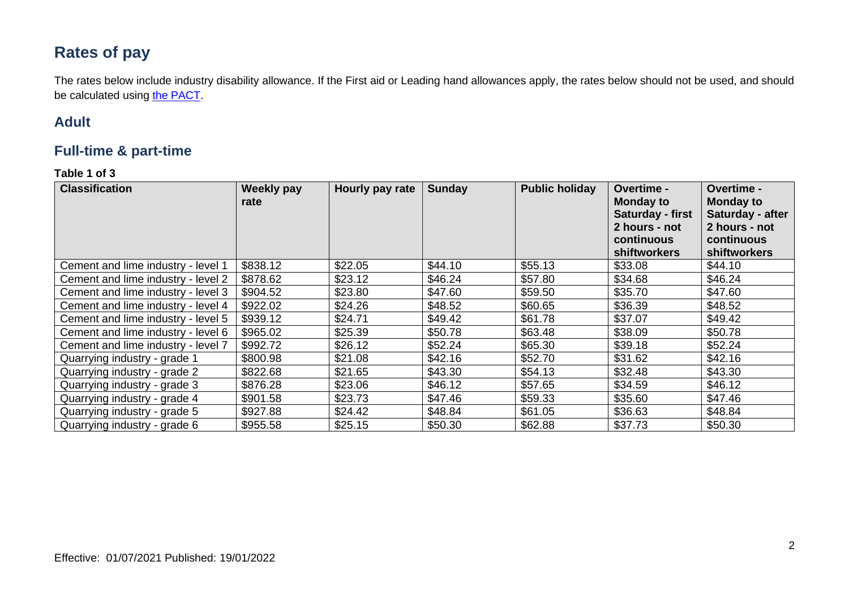# **Rates of pay**

The rates below include industry disability allowance. If the First aid or Leading hand allowances apply, the rates below should not be used, and should be calculated using [the PACT.](https://calculate.fairwork.gov.au/)

## **Adult**

### **Full-time & part-time**

#### **Table 1 of 3**

| <b>Classification</b>              | <b>Weekly pay</b><br>rate | Hourly pay rate | <b>Sunday</b> | <b>Public holiday</b> | Overtime -<br><b>Monday to</b><br>Saturday - first<br>2 hours - not<br>continuous<br>shiftworkers | <b>Overtime -</b><br><b>Monday to</b><br>Saturday - after<br>2 hours - not<br>continuous<br><b>shiftworkers</b> |
|------------------------------------|---------------------------|-----------------|---------------|-----------------------|---------------------------------------------------------------------------------------------------|-----------------------------------------------------------------------------------------------------------------|
| Cement and lime industry - level 1 | \$838.12                  | \$22.05         | \$44.10       | \$55.13               | \$33.08                                                                                           | \$44.10                                                                                                         |
| Cement and lime industry - level 2 | \$878.62                  | \$23.12         | \$46.24       | \$57.80               | \$34.68                                                                                           | \$46.24                                                                                                         |
| Cement and lime industry - level 3 | \$904.52                  | \$23.80         | \$47.60       | \$59.50               | \$35.70                                                                                           | \$47.60                                                                                                         |
| Cement and lime industry - level 4 | \$922.02                  | \$24.26         | \$48.52       | \$60.65               | \$36.39                                                                                           | \$48.52                                                                                                         |
| Cement and lime industry - level 5 | \$939.12                  | \$24.71         | \$49.42       | \$61.78               | \$37.07                                                                                           | \$49.42                                                                                                         |
| Cement and lime industry - level 6 | \$965.02                  | \$25.39         | \$50.78       | \$63.48               | \$38.09                                                                                           | \$50.78                                                                                                         |
| Cement and lime industry - level 7 | \$992.72                  | \$26.12         | \$52.24       | \$65.30               | \$39.18                                                                                           | \$52.24                                                                                                         |
| Quarrying industry - grade 1       | \$800.98                  | \$21.08         | \$42.16       | \$52.70               | \$31.62                                                                                           | \$42.16                                                                                                         |
| Quarrying industry - grade 2       | \$822.68                  | \$21.65         | \$43.30       | \$54.13               | \$32.48                                                                                           | \$43.30                                                                                                         |
| Quarrying industry - grade 3       | \$876.28                  | \$23.06         | \$46.12       | \$57.65               | \$34.59                                                                                           | \$46.12                                                                                                         |
| Quarrying industry - grade 4       | \$901.58                  | \$23.73         | \$47.46       | \$59.33               | \$35.60                                                                                           | \$47.46                                                                                                         |
| Quarrying industry - grade 5       | \$927.88                  | \$24.42         | \$48.84       | \$61.05               | \$36.63                                                                                           | \$48.84                                                                                                         |
| Quarrying industry - grade 6       | \$955.58                  | \$25.15         | \$50.30       | \$62.88               | \$37.73                                                                                           | \$50.30                                                                                                         |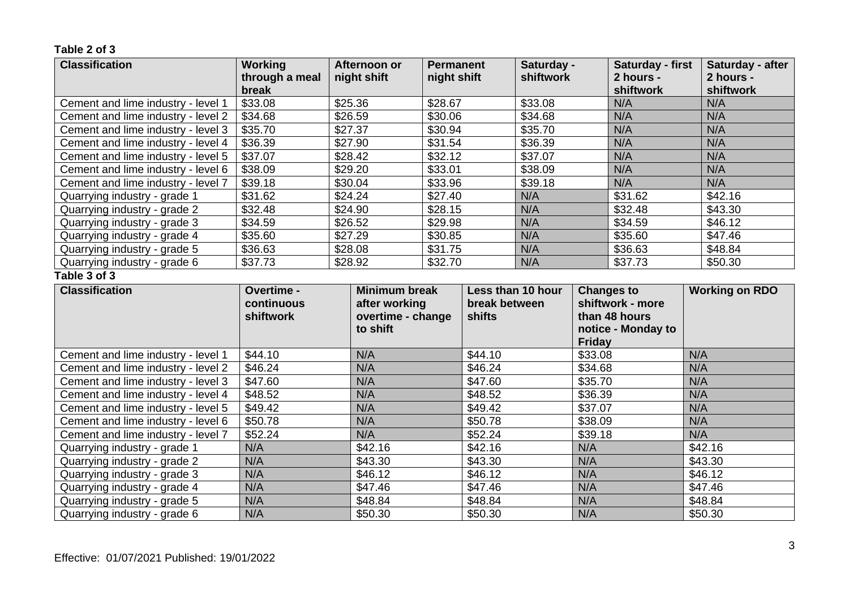**Table 2 of 3**

| <b>Classification</b>              | <b>Working</b>          |  | Afternoon or         | <b>Permanent</b> |               | Saturday -        |                   | Saturday - first       | Saturday - after       |
|------------------------------------|-------------------------|--|----------------------|------------------|---------------|-------------------|-------------------|------------------------|------------------------|
|                                    | through a meal<br>break |  | night shift          | night shift      |               | shiftwork         |                   | 2 hours -<br>shiftwork | 2 hours -<br>shiftwork |
| Cement and lime industry - level 1 | \$33.08                 |  | \$25.36              | \$28.67          |               | \$33.08           |                   | N/A                    | N/A                    |
| Cement and lime industry - level 2 | \$34.68                 |  | \$26.59              | \$30.06          |               | \$34.68           |                   | N/A                    | N/A                    |
| Cement and lime industry - level 3 | \$35.70                 |  | \$27.37              | \$30.94          |               | \$35.70           |                   | N/A                    | N/A                    |
| Cement and lime industry - level 4 | \$36.39                 |  | \$27.90              | \$31.54          |               | \$36.39           |                   | N/A                    | N/A                    |
| Cement and lime industry - level 5 | \$37.07                 |  | \$28.42              | \$32.12          |               | \$37.07           |                   | N/A                    | N/A                    |
| Cement and lime industry - level 6 | \$38.09                 |  | \$29.20              | \$33.01          |               | \$38.09           |                   | N/A                    | N/A                    |
| Cement and lime industry - level 7 | \$39.18                 |  | \$30.04              | \$33.96          |               | \$39.18           |                   | N/A                    | N/A                    |
| Quarrying industry - grade 1       | \$31.62                 |  | \$24.24              | \$27.40          |               | N/A               |                   | \$31.62                | \$42.16                |
| Quarrying industry - grade 2       | \$32.48                 |  | \$24.90              | \$28.15          |               | N/A               |                   | \$32.48                | \$43.30                |
| Quarrying industry - grade 3       | \$34.59                 |  | \$26.52              | \$29.98          |               | N/A               |                   | \$34.59                | \$46.12                |
| Quarrying industry - grade 4       | \$35.60                 |  | \$27.29              | \$30.85          |               | N/A               |                   | \$35.60                | \$47.46                |
| Quarrying industry - grade 5       | \$36.63                 |  | \$28.08              | \$31.75          |               | N/A               |                   | \$36.63                | \$48.84                |
| Quarrying industry - grade 6       | \$37.73                 |  | \$28.92              | \$32.70          |               | N/A               |                   | \$37.73                | \$50.30                |
| Table 3 of 3                       |                         |  |                      |                  |               |                   |                   |                        |                        |
| <b>Classification</b>              | Overtime -              |  | <b>Minimum break</b> |                  |               | Less than 10 hour | <b>Changes to</b> |                        | <b>Working on RDO</b>  |
|                                    | continuous              |  | after working        |                  | break between |                   |                   | shiftwork - more       |                        |
|                                    | shiftwork               |  | overtime - change    |                  | shifts        |                   |                   | than 48 hours          |                        |
|                                    |                         |  | to shift             |                  |               |                   |                   | notice - Monday to     |                        |
|                                    |                         |  |                      |                  |               |                   | <b>Friday</b>     |                        |                        |
| Cement and lime industry - level 1 | \$44.10                 |  | N/A                  |                  | \$44.10       |                   | \$33.08           |                        | N/A                    |
| Cement and lime industry - level 2 | \$46.24                 |  | N/A                  |                  | \$46.24       |                   | \$34.68           |                        | N/A                    |
| Cement and lime industry - level 3 | \$47.60                 |  | N/A                  |                  | \$47.60       |                   | \$35.70           |                        | N/A                    |
| Cement and lime industry - level 4 | \$48.52                 |  | N/A                  |                  | \$48.52       |                   | \$36.39           |                        | N/A                    |
| Cement and lime industry - level 5 | \$49.42                 |  | N/A                  |                  | \$49.42       |                   | \$37.07           |                        | N/A                    |
| Cement and lime industry - level 6 | \$50.78                 |  | N/A                  |                  | \$50.78       |                   | \$38.09           |                        | N/A                    |
| Cement and lime industry - level 7 | \$52.24                 |  | N/A                  |                  | \$52.24       |                   | \$39.18           |                        | N/A                    |
| Quarrying industry - grade 1       | N/A                     |  | \$42.16              |                  | \$42.16       |                   | N/A               |                        | \$42.16                |
| Quarrying industry - grade 2       | N/A                     |  | \$43.30              |                  | \$43.30       |                   | N/A               |                        | \$43.30                |
| Quarrying industry - grade 3       | N/A                     |  | \$46.12              |                  | \$46.12       |                   | N/A               |                        | \$46.12                |
| Quarrying industry - grade 4       | N/A                     |  | \$47.46              |                  | \$47.46       |                   | N/A               |                        | \$47.46                |
| Quarrying industry - grade 5       | N/A                     |  | \$48.84              |                  | \$48.84       |                   | N/A               |                        | \$48.84                |
| Quarrying industry - grade 6       | N/A                     |  | \$50.30              |                  | \$50.30       |                   | N/A               |                        | \$50.30                |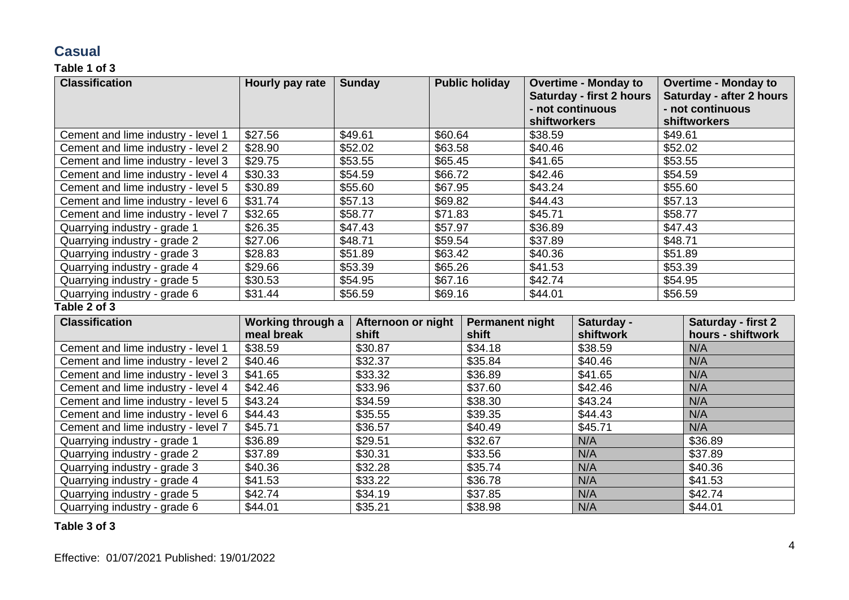## **Casual**

#### **Table 1 of 3**

| <b>Classification</b>              | Hourly pay rate | <b>Sunday</b> | <b>Public holiday</b> | <b>Overtime - Monday to</b><br><b>Saturday - first 2 hours</b><br>- not continuous<br><b>shiftworkers</b> | <b>Overtime - Monday to</b><br><b>Saturday - after 2 hours</b><br>- not continuous<br>shiftworkers |
|------------------------------------|-----------------|---------------|-----------------------|-----------------------------------------------------------------------------------------------------------|----------------------------------------------------------------------------------------------------|
| Cement and lime industry - level 1 | \$27.56         | \$49.61       | \$60.64               | \$38.59                                                                                                   | \$49.61                                                                                            |
| Cement and lime industry - level 2 | \$28.90         | \$52.02       | \$63.58               | \$40.46                                                                                                   | \$52.02                                                                                            |
| Cement and lime industry - level 3 | \$29.75         | \$53.55       | \$65.45               | \$41.65                                                                                                   | \$53.55                                                                                            |
| Cement and lime industry - level 4 | \$30.33         | \$54.59       | \$66.72               | \$42.46                                                                                                   | \$54.59                                                                                            |
| Cement and lime industry - level 5 | \$30.89         | \$55.60       | \$67.95               | \$43.24                                                                                                   | \$55.60                                                                                            |
| Cement and lime industry - level 6 | \$31.74         | \$57.13       | \$69.82               | \$44.43                                                                                                   | \$57.13                                                                                            |
| Cement and lime industry - level 7 | \$32.65         | \$58.77       | \$71.83               | \$45.71                                                                                                   | \$58.77                                                                                            |
| Quarrying industry - grade 1       | \$26.35         | \$47.43       | \$57.97               | \$36.89                                                                                                   | \$47.43                                                                                            |
| Quarrying industry - grade 2       | \$27.06         | \$48.71       | \$59.54               | \$37.89                                                                                                   | \$48.71                                                                                            |
| Quarrying industry - grade 3       | \$28.83         | \$51.89       | \$63.42               | \$40.36                                                                                                   | \$51.89                                                                                            |
| Quarrying industry - grade 4       | \$29.66         | \$53.39       | \$65.26               | \$41.53                                                                                                   | \$53.39                                                                                            |
| Quarrying industry - grade 5       | \$30.53         | \$54.95       | \$67.16               | \$42.74                                                                                                   | \$54.95                                                                                            |
| Quarrying industry - grade 6       | \$31.44         | \$56.59       | \$69.16               | \$44.01                                                                                                   | \$56.59                                                                                            |

#### **Table 2 of 3**

| <b>Classification</b>              | Working through a | Afternoon or night | <b>Permanent night</b> | Saturday - | Saturday - first 2 |
|------------------------------------|-------------------|--------------------|------------------------|------------|--------------------|
|                                    | meal break        | shift              | shift                  | shiftwork  | hours - shiftwork  |
| Cement and lime industry - level 1 | \$38.59           | \$30.87            | \$34.18                | \$38.59    | N/A                |
| Cement and lime industry - level 2 | \$40.46           | \$32.37            | \$35.84                | \$40.46    | N/A                |
| Cement and lime industry - level 3 | \$41.65           | \$33.32            | \$36.89                | \$41.65    | N/A                |
| Cement and lime industry - level 4 | \$42.46           | \$33.96            | \$37.60                | \$42.46    | N/A                |
| Cement and lime industry - level 5 | \$43.24           | \$34.59            | \$38.30                | \$43.24    | N/A                |
| Cement and lime industry - level 6 | \$44.43           | \$35.55            | \$39.35                | \$44.43    | N/A                |
| Cement and lime industry - level 7 | \$45.71           | \$36.57            | \$40.49                | \$45.71    | N/A                |
| Quarrying industry - grade 1       | \$36.89           | \$29.51            | \$32.67                | N/A        | \$36.89            |
| Quarrying industry - grade 2       | \$37.89           | \$30.31            | \$33.56                | N/A        | \$37.89            |
| Quarrying industry - grade 3       | \$40.36           | \$32.28            | \$35.74                | N/A        | \$40.36            |
| Quarrying industry - grade 4       | \$41.53           | \$33.22            | \$36.78                | N/A        | \$41.53            |
| Quarrying industry - grade 5       | \$42.74           | \$34.19            | \$37.85                | N/A        | \$42.74            |
| Quarrying industry - grade 6       | \$44.01           | \$35.21            | \$38.98                | N/A        | \$44.01            |

#### **Table 3 of 3**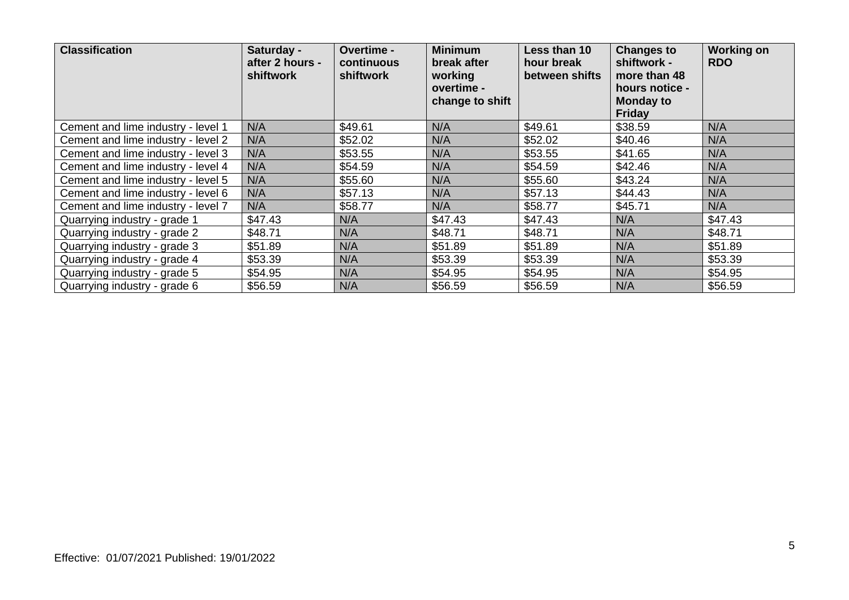| <b>Classification</b>              | Saturday -<br>after 2 hours -<br>shiftwork | Overtime -<br>continuous<br>shiftwork | <b>Minimum</b><br>break after<br>working<br>overtime -<br>change to shift | Less than 10<br>hour break<br>between shifts | <b>Changes to</b><br>shiftwork -<br>more than 48<br>hours notice -<br><b>Monday to</b><br><b>Friday</b> | <b>Working on</b><br><b>RDO</b> |
|------------------------------------|--------------------------------------------|---------------------------------------|---------------------------------------------------------------------------|----------------------------------------------|---------------------------------------------------------------------------------------------------------|---------------------------------|
| Cement and lime industry - level 1 | N/A                                        | \$49.61                               | N/A                                                                       | \$49.61                                      | \$38.59                                                                                                 | N/A                             |
| Cement and lime industry - level 2 | N/A                                        | \$52.02                               | N/A                                                                       | \$52.02                                      | \$40.46                                                                                                 | N/A                             |
| Cement and lime industry - level 3 | N/A                                        | \$53.55                               | N/A                                                                       | \$53.55                                      | \$41.65                                                                                                 | N/A                             |
| Cement and lime industry - level 4 | N/A                                        | \$54.59                               | N/A                                                                       | \$54.59                                      | \$42.46                                                                                                 | N/A                             |
| Cement and lime industry - level 5 | N/A                                        | \$55.60                               | N/A                                                                       | \$55.60                                      | \$43.24                                                                                                 | N/A                             |
| Cement and lime industry - level 6 | N/A                                        | \$57.13                               | N/A                                                                       | \$57.13                                      | \$44.43                                                                                                 | N/A                             |
| Cement and lime industry - level 7 | N/A                                        | \$58.77                               | N/A                                                                       | \$58.77                                      | \$45.71                                                                                                 | N/A                             |
| Quarrying industry - grade 1       | \$47.43                                    | N/A                                   | \$47.43                                                                   | \$47.43                                      | N/A                                                                                                     | \$47.43                         |
| Quarrying industry - grade 2       | \$48.71                                    | N/A                                   | \$48.71                                                                   | \$48.71                                      | N/A                                                                                                     | \$48.71                         |
| Quarrying industry - grade 3       | \$51.89                                    | N/A                                   | \$51.89                                                                   | \$51.89                                      | N/A                                                                                                     | \$51.89                         |
| Quarrying industry - grade 4       | \$53.39                                    | N/A                                   | \$53.39                                                                   | \$53.39                                      | N/A                                                                                                     | \$53.39                         |
| Quarrying industry - grade 5       | \$54.95                                    | N/A                                   | \$54.95                                                                   | \$54.95                                      | N/A                                                                                                     | \$54.95                         |
| Quarrying industry - grade 6       | \$56.59                                    | N/A                                   | \$56.59                                                                   | \$56.59                                      | N/A                                                                                                     | \$56.59                         |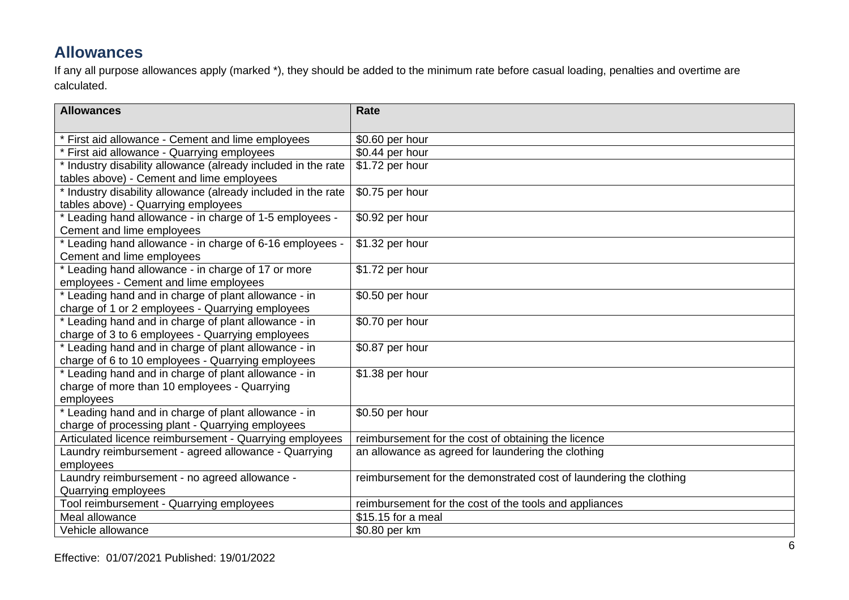## **Allowances**

If any all purpose allowances apply (marked \*), they should be added to the minimum rate before casual loading, penalties and overtime are calculated.

| <b>Allowances</b>                                             | <b>Rate</b>                                                        |
|---------------------------------------------------------------|--------------------------------------------------------------------|
|                                                               |                                                                    |
| * First aid allowance - Cement and lime employees             | \$0.60 per hour                                                    |
| * First aid allowance - Quarrying employees                   | \$0.44 per hour                                                    |
| * Industry disability allowance (already included in the rate | \$1.72 per hour                                                    |
| tables above) - Cement and lime employees                     |                                                                    |
| * Industry disability allowance (already included in the rate | \$0.75 per hour                                                    |
| tables above) - Quarrying employees                           |                                                                    |
| * Leading hand allowance - in charge of 1-5 employees -       | \$0.92 per hour                                                    |
| Cement and lime employees                                     |                                                                    |
| * Leading hand allowance - in charge of 6-16 employees -      | \$1.32 per hour                                                    |
| Cement and lime employees                                     |                                                                    |
| * Leading hand allowance - in charge of 17 or more            | \$1.72 per hour                                                    |
| employees - Cement and lime employees                         |                                                                    |
| * Leading hand and in charge of plant allowance - in          | \$0.50 per hour                                                    |
| charge of 1 or 2 employees - Quarrying employees              |                                                                    |
| * Leading hand and in charge of plant allowance - in          | \$0.70 per hour                                                    |
| charge of 3 to 6 employees - Quarrying employees              |                                                                    |
| * Leading hand and in charge of plant allowance - in          | \$0.87 per hour                                                    |
| charge of 6 to 10 employees - Quarrying employees             |                                                                    |
| * Leading hand and in charge of plant allowance - in          | \$1.38 per hour                                                    |
| charge of more than 10 employees - Quarrying                  |                                                                    |
| employees                                                     |                                                                    |
| * Leading hand and in charge of plant allowance - in          | \$0.50 per hour                                                    |
| charge of processing plant - Quarrying employees              |                                                                    |
| Articulated licence reimbursement - Quarrying employees       | reimbursement for the cost of obtaining the licence                |
| Laundry reimbursement - agreed allowance - Quarrying          | an allowance as agreed for laundering the clothing                 |
| employees                                                     |                                                                    |
| Laundry reimbursement - no agreed allowance -                 | reimbursement for the demonstrated cost of laundering the clothing |
| Quarrying employees                                           |                                                                    |
| Tool reimbursement - Quarrying employees                      | reimbursement for the cost of the tools and appliances             |
| Meal allowance                                                | \$15.15 for a meal                                                 |
| Vehicle allowance                                             | \$0.80 per km                                                      |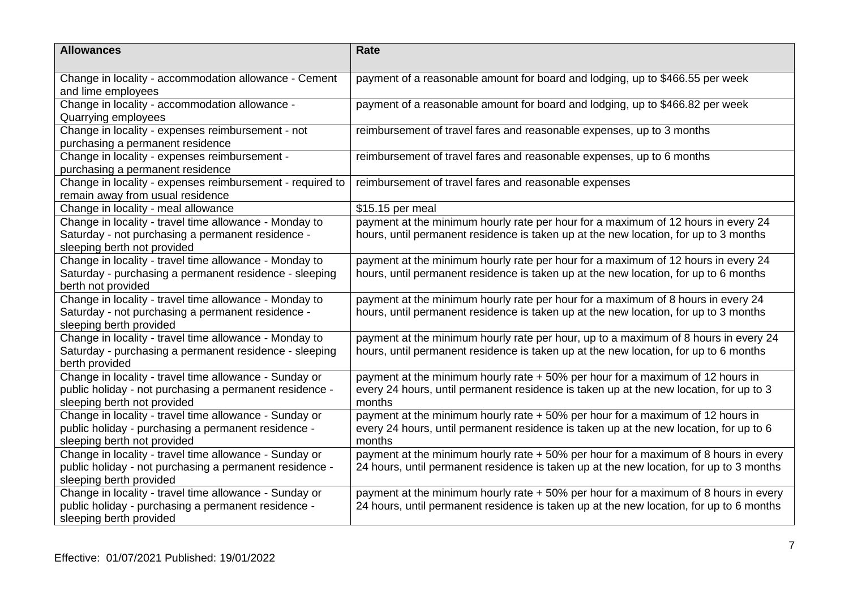| <b>Allowances</b>                                                                                                                                | <b>Rate</b>                                                                                                                                                                        |
|--------------------------------------------------------------------------------------------------------------------------------------------------|------------------------------------------------------------------------------------------------------------------------------------------------------------------------------------|
| Change in locality - accommodation allowance - Cement<br>and lime employees                                                                      | payment of a reasonable amount for board and lodging, up to \$466.55 per week                                                                                                      |
| Change in locality - accommodation allowance -<br>Quarrying employees                                                                            | payment of a reasonable amount for board and lodging, up to \$466.82 per week                                                                                                      |
| Change in locality - expenses reimbursement - not<br>purchasing a permanent residence                                                            | reimbursement of travel fares and reasonable expenses, up to 3 months                                                                                                              |
| Change in locality - expenses reimbursement -<br>purchasing a permanent residence                                                                | reimbursement of travel fares and reasonable expenses, up to 6 months                                                                                                              |
| Change in locality - expenses reimbursement - required to<br>remain away from usual residence                                                    | reimbursement of travel fares and reasonable expenses                                                                                                                              |
| Change in locality - meal allowance                                                                                                              | \$15.15 per meal                                                                                                                                                                   |
| Change in locality - travel time allowance - Monday to<br>Saturday - not purchasing a permanent residence -<br>sleeping berth not provided       | payment at the minimum hourly rate per hour for a maximum of 12 hours in every 24<br>hours, until permanent residence is taken up at the new location, for up to 3 months          |
| Change in locality - travel time allowance - Monday to<br>Saturday - purchasing a permanent residence - sleeping<br>berth not provided           | payment at the minimum hourly rate per hour for a maximum of 12 hours in every 24<br>hours, until permanent residence is taken up at the new location, for up to 6 months          |
| Change in locality - travel time allowance - Monday to<br>Saturday - not purchasing a permanent residence -<br>sleeping berth provided           | payment at the minimum hourly rate per hour for a maximum of 8 hours in every 24<br>hours, until permanent residence is taken up at the new location, for up to 3 months           |
| Change in locality - travel time allowance - Monday to<br>Saturday - purchasing a permanent residence - sleeping<br>berth provided               | payment at the minimum hourly rate per hour, up to a maximum of 8 hours in every 24<br>hours, until permanent residence is taken up at the new location, for up to 6 months        |
| Change in locality - travel time allowance - Sunday or<br>public holiday - not purchasing a permanent residence -<br>sleeping berth not provided | payment at the minimum hourly rate + 50% per hour for a maximum of 12 hours in<br>every 24 hours, until permanent residence is taken up at the new location, for up to 3<br>months |
| Change in locality - travel time allowance - Sunday or<br>public holiday - purchasing a permanent residence -<br>sleeping berth not provided     | payment at the minimum hourly rate + 50% per hour for a maximum of 12 hours in<br>every 24 hours, until permanent residence is taken up at the new location, for up to 6<br>months |
| Change in locality - travel time allowance - Sunday or<br>public holiday - not purchasing a permanent residence -<br>sleeping berth provided     | payment at the minimum hourly rate + 50% per hour for a maximum of 8 hours in every<br>24 hours, until permanent residence is taken up at the new location, for up to 3 months     |
| Change in locality - travel time allowance - Sunday or<br>public holiday - purchasing a permanent residence -<br>sleeping berth provided         | payment at the minimum hourly rate + 50% per hour for a maximum of 8 hours in every<br>24 hours, until permanent residence is taken up at the new location, for up to 6 months     |